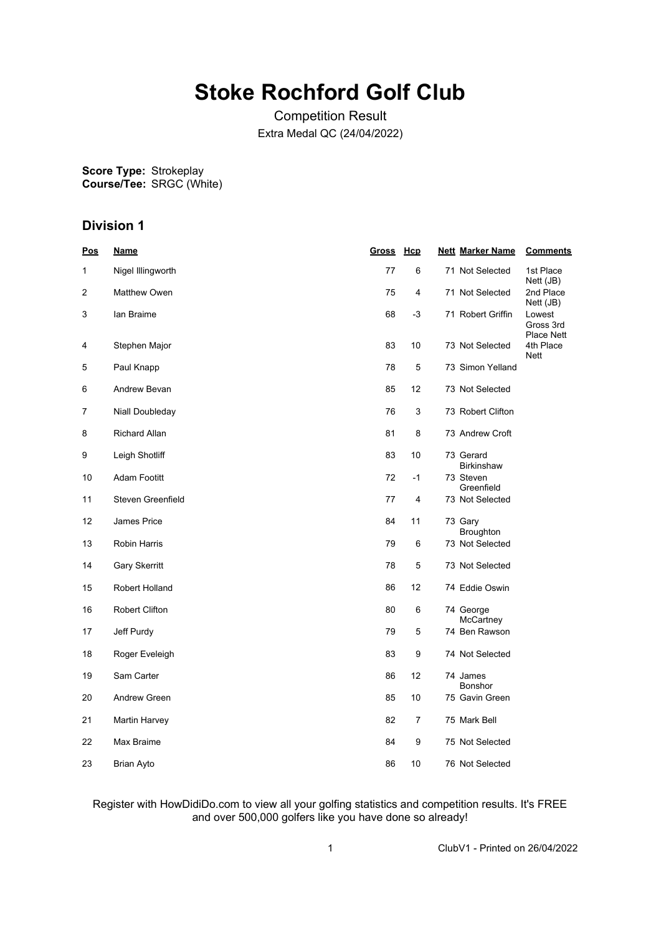# **Stoke Rochford Golf Club**

Competition Result Extra Medal QC (24/04/2022)

**Score Type: Course/Tee:** Strokeplay SRGC (White)

# **Division 1**

| <u>Pos</u>     | <u>Name</u>          | Gross Hcp |                | <b>Nett Marker Name</b>        | <b>Comments</b>                          |
|----------------|----------------------|-----------|----------------|--------------------------------|------------------------------------------|
| 1              | Nigel Illingworth    | 77        | 6              | 71 Not Selected                | 1st Place<br>Nett (JB)                   |
| $\overline{2}$ | Matthew Owen         | 75        | $\overline{4}$ | 71 Not Selected                | 2nd Place<br>Nett (JB)                   |
| 3              | lan Braime           | 68        | $-3$           | 71 Robert Griffin              | Lowest<br>Gross 3rd<br><b>Place Nett</b> |
| 4              | Stephen Major        | 83        | 10             | 73 Not Selected                | 4th Place<br><b>Nett</b>                 |
| 5              | Paul Knapp           | 78        | 5              | 73 Simon Yelland               |                                          |
| 6              | Andrew Bevan         | 85        | 12             | 73 Not Selected                |                                          |
| 7              | Niall Doubleday      | 76        | 3              | 73 Robert Clifton              |                                          |
| 8              | Richard Allan        | 81        | 8              | 73 Andrew Croft                |                                          |
| 9              | Leigh Shotliff       | 83        | 10             | 73 Gerard<br><b>Birkinshaw</b> |                                          |
| 10             | Adam Footitt         | 72        | $-1$           | 73 Steven<br>Greenfield        |                                          |
| 11             | Steven Greenfield    | 77        | 4              | 73 Not Selected                |                                          |
| 12             | James Price          | 84        | 11             | 73 Gary<br><b>Broughton</b>    |                                          |
| 13             | <b>Robin Harris</b>  | 79        | 6              | 73 Not Selected                |                                          |
| 14             | <b>Gary Skerritt</b> | 78        | 5              | 73 Not Selected                |                                          |
| 15             | Robert Holland       | 86        | 12             | 74 Eddie Oswin                 |                                          |
| 16             | Robert Clifton       | 80        | 6              | 74 George<br>McCartney         |                                          |
| 17             | Jeff Purdy           | 79        | 5              | 74 Ben Rawson                  |                                          |
| 18             | Roger Eveleigh       | 83        | 9              | 74 Not Selected                |                                          |
| 19             | Sam Carter           | 86        | 12             | 74 James<br>Bonshor            |                                          |
| 20             | Andrew Green         | 85        | 10             | 75 Gavin Green                 |                                          |
| 21             | Martin Harvey        | 82        | 7              | 75 Mark Bell                   |                                          |
| 22             | Max Braime           | 84        | 9              | 75 Not Selected                |                                          |
| 23             | Brian Ayto           | 86        | 10             | 76 Not Selected                |                                          |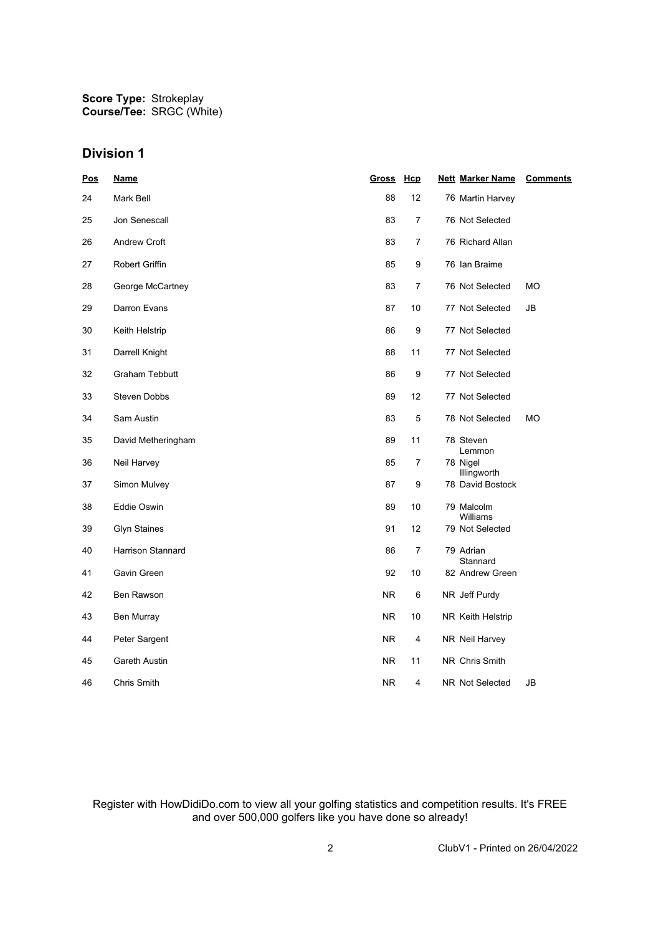## **Division 1**

| <u>Pos</u> | <u>Name</u>           | <u>Gross</u> | Hcp            | <b>Nett Marker Name</b>         | <b>Comments</b> |
|------------|-----------------------|--------------|----------------|---------------------------------|-----------------|
| 24         | Mark Bell             | 88           | 12             | 76 Martin Harvey                |                 |
| 25         | Jon Senescall         | 83           | 7              | 76 Not Selected                 |                 |
| 26         | Andrew Croft          | 83           | $\overline{7}$ | 76 Richard Allan                |                 |
| 27         | Robert Griffin        | 85           | 9              | 76 Ian Braime                   |                 |
| 28         | George McCartney      | 83           | $\overline{7}$ | 76 Not Selected                 | <b>MO</b>       |
| 29         | Darron Evans          | 87           | 10             | 77 Not Selected                 | JB              |
| 30         | Keith Helstrip        | 86           | 9              | 77 Not Selected                 |                 |
| 31         | Darrell Knight        | 88           | 11             | 77 Not Selected                 |                 |
| 32         | <b>Graham Tebbutt</b> | 86           | 9              | 77 Not Selected                 |                 |
| 33         | <b>Steven Dobbs</b>   | 89           | 12             | 77 Not Selected                 |                 |
| 34         | Sam Austin            | 83           | 5              | 78 Not Selected                 | МO              |
| 35         | David Metheringham    | 89           | 11             | 78 Steven                       |                 |
| 36         | Neil Harvey           | 85           | 7              | Lemmon<br>78 Nigel              |                 |
| 37         | Simon Mulvey          | 87           | 9              | Illingworth<br>78 David Bostock |                 |
| 38         | Eddie Oswin           | 89           | 10             | 79 Malcolm<br>Williams          |                 |
| 39         | <b>Glyn Staines</b>   | 91           | 12             | 79 Not Selected                 |                 |
| 40         | Harrison Stannard     | 86           | 7              | 79 Adrian                       |                 |
| 41         | Gavin Green           | 92           | 10             | Stannard<br>82 Andrew Green     |                 |
| 42         | Ben Rawson            | <b>NR</b>    | 6              | NR Jeff Purdy                   |                 |
| 43         | Ben Murray            | <b>NR</b>    | 10             | NR Keith Helstrip               |                 |
| 44         | Peter Sargent         | NR.          | 4              | NR Neil Harvey                  |                 |
| 45         | Gareth Austin         | <b>NR</b>    | 11             | NR Chris Smith                  |                 |
| 46         | Chris Smith           | <b>NR</b>    | $\overline{4}$ | NR Not Selected                 | JB              |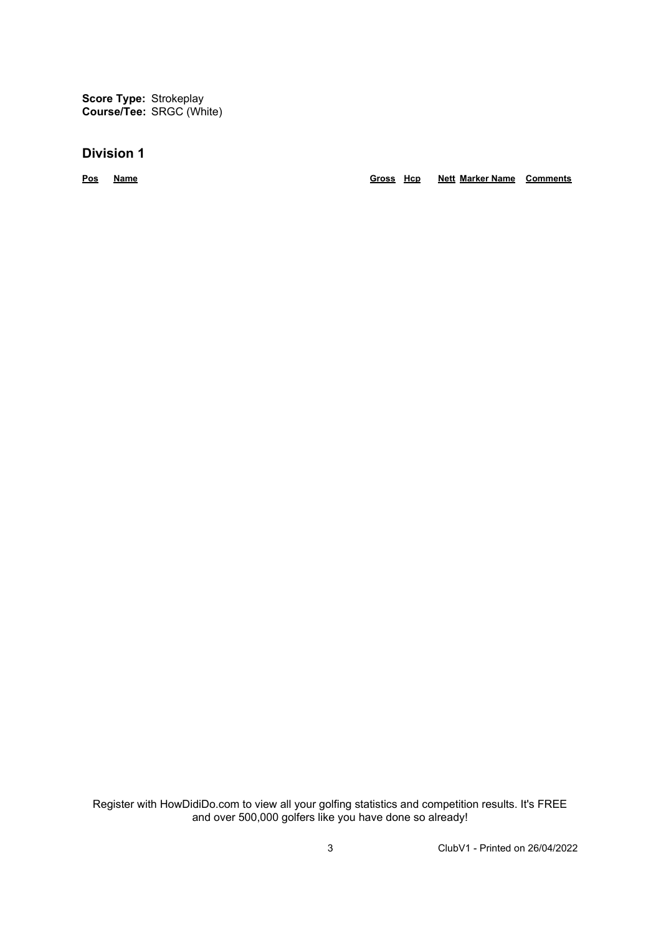**Score Type:** Strokeplay **Course/Tee:** SRGC (White)

## **Division 1**

**Pos Name Gross Hcp Nett Marker Name Comments**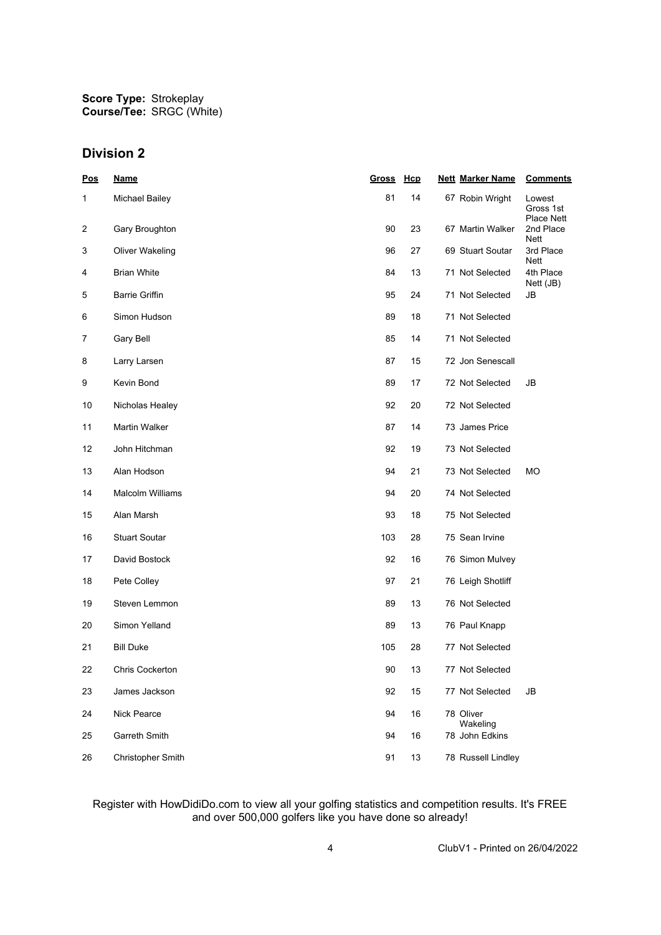## **Division 2**

| <u>Pos</u> | <b>Name</b>             | <u>Gross</u> | Hcp | <b>Nett Marker Name</b> | <b>Comments</b>                          |
|------------|-------------------------|--------------|-----|-------------------------|------------------------------------------|
| 1          | Michael Bailey          | 81           | 14  | 67 Robin Wright         | Lowest<br>Gross 1st<br><b>Place Nett</b> |
| 2          | Gary Broughton          | 90           | 23  | 67 Martin Walker        | 2nd Place<br>Nett                        |
| 3          | Oliver Wakeling         | 96           | 27  | 69 Stuart Soutar        | 3rd Place<br>Nett                        |
| 4          | <b>Brian White</b>      | 84           | 13  | 71 Not Selected         | 4th Place<br>Nett (JB)                   |
| 5          | <b>Barrie Griffin</b>   | 95           | 24  | 71 Not Selected         | JB                                       |
| 6          | Simon Hudson            | 89           | 18  | 71 Not Selected         |                                          |
| 7          | Gary Bell               | 85           | 14  | 71 Not Selected         |                                          |
| 8          | Larry Larsen            | 87           | 15  | 72 Jon Senescall        |                                          |
| 9          | Kevin Bond              | 89           | 17  | 72 Not Selected         | JB                                       |
| 10         | Nicholas Healey         | 92           | 20  | 72 Not Selected         |                                          |
| 11         | Martin Walker           | 87           | 14  | 73 James Price          |                                          |
| 12         | John Hitchman           | 92           | 19  | 73 Not Selected         |                                          |
| 13         | Alan Hodson             | 94           | 21  | 73 Not Selected         | МO                                       |
| 14         | <b>Malcolm Williams</b> | 94           | 20  | 74 Not Selected         |                                          |
| 15         | Alan Marsh              | 93           | 18  | 75 Not Selected         |                                          |
| 16         | <b>Stuart Soutar</b>    | 103          | 28  | 75 Sean Irvine          |                                          |
| 17         | David Bostock           | 92           | 16  | 76 Simon Mulvey         |                                          |
| 18         | Pete Colley             | 97           | 21  | 76 Leigh Shotliff       |                                          |
| 19         | Steven Lemmon           | 89           | 13  | 76 Not Selected         |                                          |
| 20         | Simon Yelland           | 89           | 13  | 76 Paul Knapp           |                                          |
| 21         | <b>Bill Duke</b>        | 105          | 28  | 77 Not Selected         |                                          |
| 22         | <b>Chris Cockerton</b>  | 90           | 13  | 77 Not Selected         |                                          |
| 23         | James Jackson           | 92           | 15  | 77 Not Selected         | JB                                       |
| 24         | Nick Pearce             | 94           | 16  | 78 Oliver<br>Wakeling   |                                          |
| 25         | Garreth Smith           | 94           | 16  | 78 John Edkins          |                                          |
| 26         | Christopher Smith       | 91           | 13  | 78 Russell Lindley      |                                          |